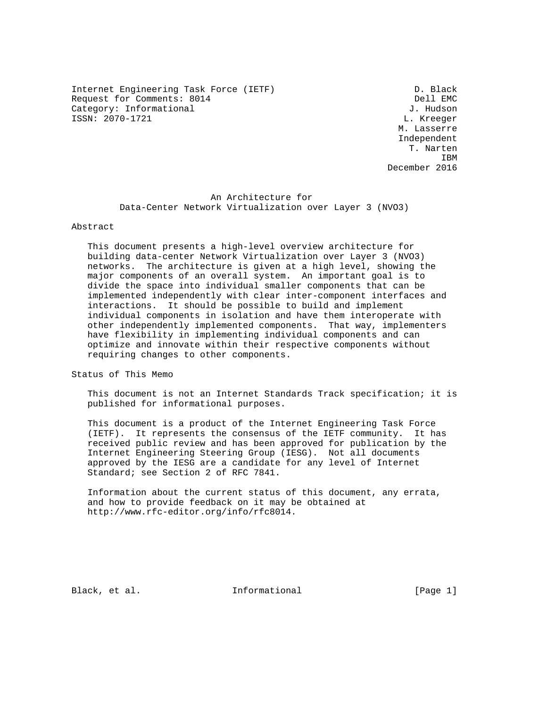Internet Engineering Task Force (IETF) D. Black Request for Comments: 8014 Dell EMC<br>
Category: Informational U. Hudson Category: Informational ISSN: 2070-1721 L. Kreeger

 M. Lasserre Independent T. Narten **IBM IBM** December 2016

> An Architecture for Data-Center Network Virtualization over Layer 3 (NVO3)

# Abstract

 This document presents a high-level overview architecture for building data-center Network Virtualization over Layer 3 (NVO3) networks. The architecture is given at a high level, showing the major components of an overall system. An important goal is to divide the space into individual smaller components that can be implemented independently with clear inter-component interfaces and interactions. It should be possible to build and implement individual components in isolation and have them interoperate with other independently implemented components. That way, implementers have flexibility in implementing individual components and can optimize and innovate within their respective components without requiring changes to other components.

Status of This Memo

 This document is not an Internet Standards Track specification; it is published for informational purposes.

 This document is a product of the Internet Engineering Task Force (IETF). It represents the consensus of the IETF community. It has received public review and has been approved for publication by the Internet Engineering Steering Group (IESG). Not all documents approved by the IESG are a candidate for any level of Internet Standard; see Section 2 of RFC 7841.

 Information about the current status of this document, any errata, and how to provide feedback on it may be obtained at http://www.rfc-editor.org/info/rfc8014.

Black, et al. Informational [Page 1]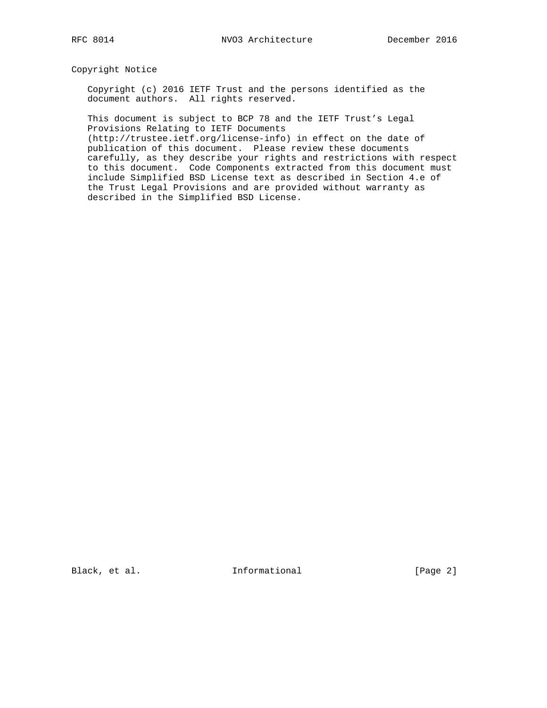Copyright Notice

 Copyright (c) 2016 IETF Trust and the persons identified as the document authors. All rights reserved.

 This document is subject to BCP 78 and the IETF Trust's Legal Provisions Relating to IETF Documents

 (http://trustee.ietf.org/license-info) in effect on the date of publication of this document. Please review these documents carefully, as they describe your rights and restrictions with respect to this document. Code Components extracted from this document must include Simplified BSD License text as described in Section 4.e of the Trust Legal Provisions and are provided without warranty as described in the Simplified BSD License.

Black, et al. 1nformational [Page 2]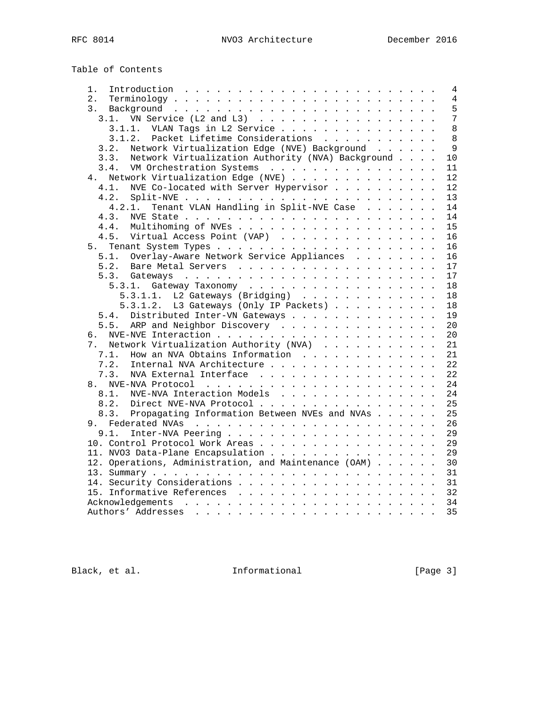Table of Contents

| 1.             | Introduction $\ldots \ldots \ldots \ldots \ldots \ldots \ldots \ldots$       |  |  |                |
|----------------|------------------------------------------------------------------------------|--|--|----------------|
| 2.             |                                                                              |  |  |                |
| 3.             |                                                                              |  |  |                |
| 3.1.           | VN Service (L2 and L3) $\ldots$ $\ldots$ $\ldots$ $\ldots$ $\ldots$ $\ldots$ |  |  | $\overline{7}$ |
|                | 3.1.1. VLAN Tags in L2 Service                                               |  |  |                |
|                | 3.1.2. Packet Lifetime Considerations                                        |  |  | 8              |
| 3.2.           | Network Virtualization Edge (NVE) Background                                 |  |  | $\overline{9}$ |
| 3.3.           | Network Virtualization Authority (NVA) Background                            |  |  | 10             |
| 3.4.           | VM Orchestration Systems                                                     |  |  | 11             |
|                | 4. Network Virtualization Edge (NVE)                                         |  |  | 12             |
| 4.1.           | NVE Co-located with Server Hypervisor                                        |  |  | 12             |
| 4.2.           |                                                                              |  |  | 13             |
| 4.2.1.         | Tenant VLAN Handling in Split-NVE Case                                       |  |  | 14             |
| 4.3.           |                                                                              |  |  | 14             |
| 4.4.           |                                                                              |  |  | 15             |
| 4.5.           | Virtual Access Point (VAP)                                                   |  |  | 16             |
|                |                                                                              |  |  | 16             |
| 5.1.           | Overlay-Aware Network Service Appliances                                     |  |  | 16             |
| 5.2.           |                                                                              |  |  | 17             |
|                |                                                                              |  |  | 17             |
|                |                                                                              |  |  | 18             |
|                | 5.3.1.1. L2 Gateways (Bridging) $\ldots$                                     |  |  | 18             |
|                | 5.3.1.2. L3 Gateways (Only IP Packets)                                       |  |  | 18             |
|                | 5.4. Distributed Inter-VN Gateways                                           |  |  | 19             |
| 5.5.           | ARP and Neighbor Discovery                                                   |  |  | 20             |
|                |                                                                              |  |  | 20             |
| 7 <sub>1</sub> | Network Virtualization Authority (NVA)                                       |  |  | 21             |
| 7.1.           | How an NVA Obtains Information                                               |  |  | 21             |
| 7.2.           | Internal NVA Architecture                                                    |  |  | 22             |
| 7.3.           | NVA External Interface                                                       |  |  | 22             |
|                |                                                                              |  |  |                |
| 8.1.           | NVE-NVA Interaction Models                                                   |  |  | 24<br>24       |
|                |                                                                              |  |  |                |
|                | 8.2. Direct NVE-NVA Protocol                                                 |  |  | 25             |
|                | 8.3. Propagating Information Between NVEs and NVAs                           |  |  | 25             |
|                |                                                                              |  |  | 26             |
| 9.1.           |                                                                              |  |  | 29             |
|                | 10. Control Protocol Work Areas                                              |  |  | 29             |
|                | 11. NVO3 Data-Plane Encapsulation                                            |  |  | 29             |
|                | 12. Operations, Administration, and Maintenance (OAM)                        |  |  | 30             |
|                |                                                                              |  |  | 31             |
|                |                                                                              |  |  | 31             |
|                |                                                                              |  |  | 32             |
|                |                                                                              |  |  | 34             |
|                |                                                                              |  |  | 35             |

Black, et al. 1nformational [Page 3]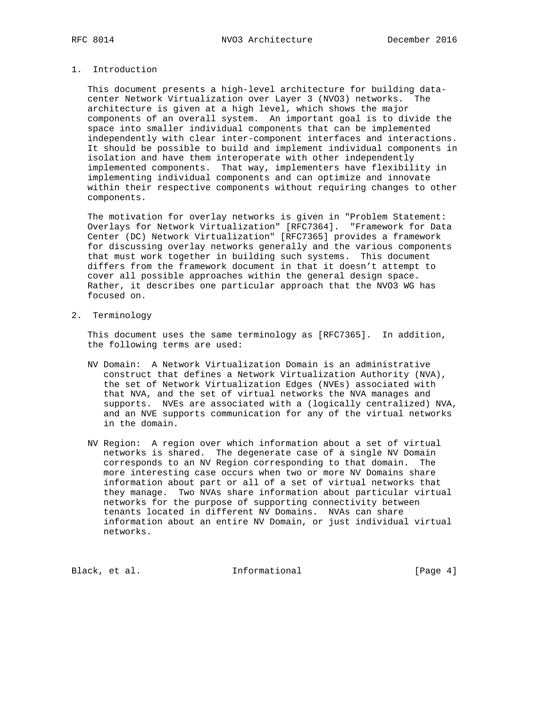# 1. Introduction

 This document presents a high-level architecture for building data center Network Virtualization over Layer 3 (NVO3) networks. The architecture is given at a high level, which shows the major components of an overall system. An important goal is to divide the space into smaller individual components that can be implemented independently with clear inter-component interfaces and interactions. It should be possible to build and implement individual components in isolation and have them interoperate with other independently implemented components. That way, implementers have flexibility in implementing individual components and can optimize and innovate within their respective components without requiring changes to other components.

 The motivation for overlay networks is given in "Problem Statement: Overlays for Network Virtualization" [RFC7364]. "Framework for Data Center (DC) Network Virtualization" [RFC7365] provides a framework for discussing overlay networks generally and the various components that must work together in building such systems. This document differs from the framework document in that it doesn't attempt to cover all possible approaches within the general design space. Rather, it describes one particular approach that the NVO3 WG has focused on.

2. Terminology

 This document uses the same terminology as [RFC7365]. In addition, the following terms are used:

- NV Domain: A Network Virtualization Domain is an administrative construct that defines a Network Virtualization Authority (NVA), the set of Network Virtualization Edges (NVEs) associated with that NVA, and the set of virtual networks the NVA manages and supports. NVEs are associated with a (logically centralized) NVA, and an NVE supports communication for any of the virtual networks in the domain.
- NV Region: A region over which information about a set of virtual networks is shared. The degenerate case of a single NV Domain corresponds to an NV Region corresponding to that domain. The more interesting case occurs when two or more NV Domains share information about part or all of a set of virtual networks that they manage. Two NVAs share information about particular virtual networks for the purpose of supporting connectivity between tenants located in different NV Domains. NVAs can share information about an entire NV Domain, or just individual virtual networks.

Black, et al. 1nformational [Page 4]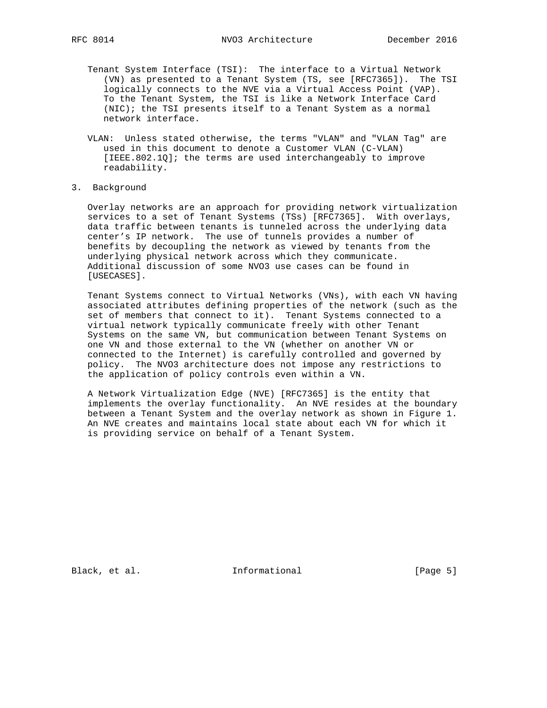- Tenant System Interface (TSI): The interface to a Virtual Network (VN) as presented to a Tenant System (TS, see [RFC7365]). The TSI logically connects to the NVE via a Virtual Access Point (VAP). To the Tenant System, the TSI is like a Network Interface Card (NIC); the TSI presents itself to a Tenant System as a normal network interface.
- VLAN: Unless stated otherwise, the terms "VLAN" and "VLAN Tag" are used in this document to denote a Customer VLAN (C-VLAN) [IEEE.802.1Q]; the terms are used interchangeably to improve readability.
- 3. Background

 Overlay networks are an approach for providing network virtualization services to a set of Tenant Systems (TSs) [RFC7365]. With overlays, data traffic between tenants is tunneled across the underlying data center's IP network. The use of tunnels provides a number of benefits by decoupling the network as viewed by tenants from the underlying physical network across which they communicate. Additional discussion of some NVO3 use cases can be found in [USECASES].

 Tenant Systems connect to Virtual Networks (VNs), with each VN having associated attributes defining properties of the network (such as the set of members that connect to it). Tenant Systems connected to a virtual network typically communicate freely with other Tenant Systems on the same VN, but communication between Tenant Systems on one VN and those external to the VN (whether on another VN or connected to the Internet) is carefully controlled and governed by policy. The NVO3 architecture does not impose any restrictions to the application of policy controls even within a VN.

 A Network Virtualization Edge (NVE) [RFC7365] is the entity that implements the overlay functionality. An NVE resides at the boundary between a Tenant System and the overlay network as shown in Figure 1. An NVE creates and maintains local state about each VN for which it is providing service on behalf of a Tenant System.

Black, et al. 1nformational [Page 5]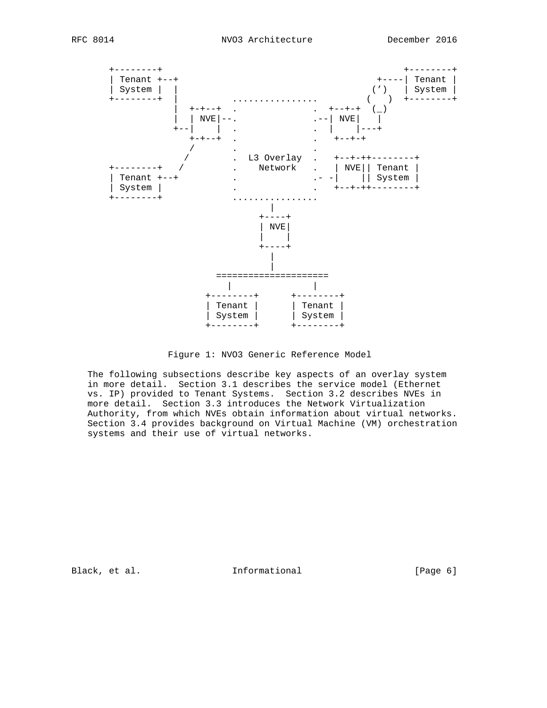

Figure 1: NVO3 Generic Reference Model

 The following subsections describe key aspects of an overlay system in more detail. Section 3.1 describes the service model (Ethernet vs. IP) provided to Tenant Systems. Section 3.2 describes NVEs in more detail. Section 3.3 introduces the Network Virtualization Authority, from which NVEs obtain information about virtual networks. Section 3.4 provides background on Virtual Machine (VM) orchestration systems and their use of virtual networks.

Black, et al. 1nformational [Page 6]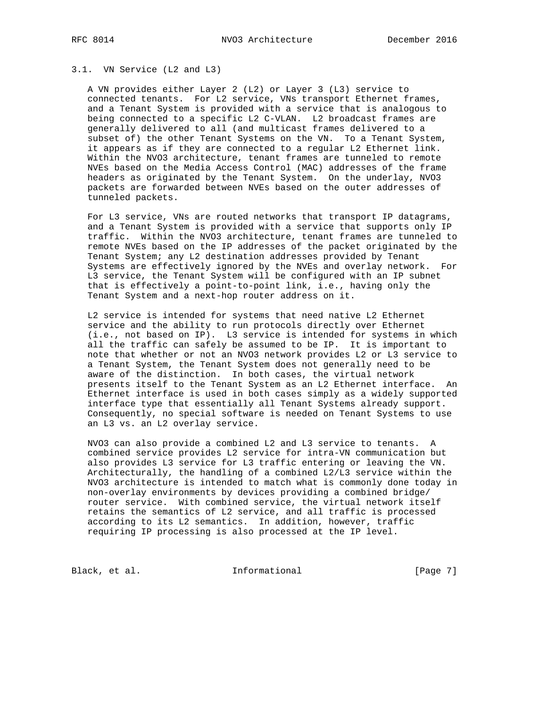#### 3.1. VN Service (L2 and L3)

 A VN provides either Layer 2 (L2) or Layer 3 (L3) service to connected tenants. For L2 service, VNs transport Ethernet frames, and a Tenant System is provided with a service that is analogous to being connected to a specific L2 C-VLAN. L2 broadcast frames are generally delivered to all (and multicast frames delivered to a subset of) the other Tenant Systems on the VN. To a Tenant System, it appears as if they are connected to a regular L2 Ethernet link. Within the NVO3 architecture, tenant frames are tunneled to remote NVEs based on the Media Access Control (MAC) addresses of the frame headers as originated by the Tenant System. On the underlay, NVO3 packets are forwarded between NVEs based on the outer addresses of tunneled packets.

 For L3 service, VNs are routed networks that transport IP datagrams, and a Tenant System is provided with a service that supports only IP traffic. Within the NVO3 architecture, tenant frames are tunneled to remote NVEs based on the IP addresses of the packet originated by the Tenant System; any L2 destination addresses provided by Tenant Systems are effectively ignored by the NVEs and overlay network. For L3 service, the Tenant System will be configured with an IP subnet that is effectively a point-to-point link, i.e., having only the Tenant System and a next-hop router address on it.

 L2 service is intended for systems that need native L2 Ethernet service and the ability to run protocols directly over Ethernet (i.e., not based on IP). L3 service is intended for systems in which all the traffic can safely be assumed to be IP. It is important to note that whether or not an NVO3 network provides L2 or L3 service to a Tenant System, the Tenant System does not generally need to be aware of the distinction. In both cases, the virtual network presents itself to the Tenant System as an L2 Ethernet interface. An Ethernet interface is used in both cases simply as a widely supported interface type that essentially all Tenant Systems already support. Consequently, no special software is needed on Tenant Systems to use an L3 vs. an L2 overlay service.

 NVO3 can also provide a combined L2 and L3 service to tenants. A combined service provides L2 service for intra-VN communication but also provides L3 service for L3 traffic entering or leaving the VN. Architecturally, the handling of a combined L2/L3 service within the NVO3 architecture is intended to match what is commonly done today in non-overlay environments by devices providing a combined bridge/ router service. With combined service, the virtual network itself retains the semantics of L2 service, and all traffic is processed according to its L2 semantics. In addition, however, traffic requiring IP processing is also processed at the IP level.

Black, et al. 1nformational [Page 7]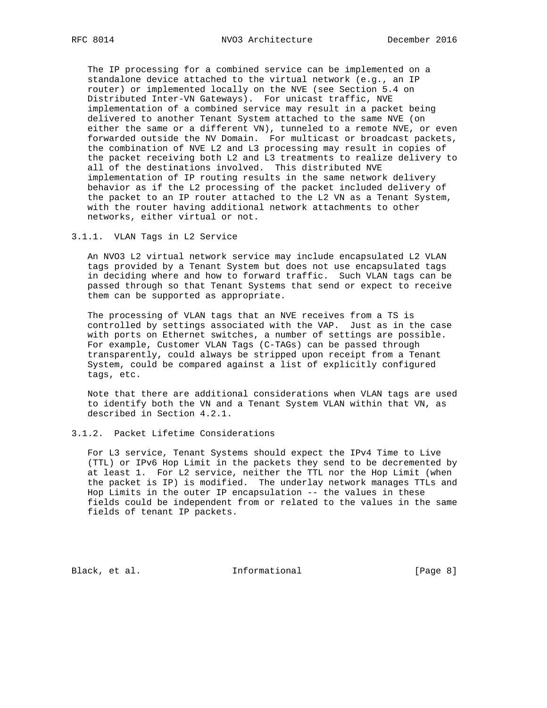The IP processing for a combined service can be implemented on a standalone device attached to the virtual network (e.g., an IP router) or implemented locally on the NVE (see Section 5.4 on Distributed Inter-VN Gateways). For unicast traffic, NVE implementation of a combined service may result in a packet being delivered to another Tenant System attached to the same NVE (on either the same or a different VN), tunneled to a remote NVE, or even forwarded outside the NV Domain. For multicast or broadcast packets, the combination of NVE L2 and L3 processing may result in copies of the packet receiving both L2 and L3 treatments to realize delivery to all of the destinations involved. This distributed NVE implementation of IP routing results in the same network delivery behavior as if the L2 processing of the packet included delivery of the packet to an IP router attached to the L2 VN as a Tenant System, with the router having additional network attachments to other networks, either virtual or not.

#### 3.1.1. VLAN Tags in L2 Service

 An NVO3 L2 virtual network service may include encapsulated L2 VLAN tags provided by a Tenant System but does not use encapsulated tags in deciding where and how to forward traffic. Such VLAN tags can be passed through so that Tenant Systems that send or expect to receive them can be supported as appropriate.

 The processing of VLAN tags that an NVE receives from a TS is controlled by settings associated with the VAP. Just as in the case with ports on Ethernet switches, a number of settings are possible. For example, Customer VLAN Tags (C-TAGs) can be passed through transparently, could always be stripped upon receipt from a Tenant System, could be compared against a list of explicitly configured tags, etc.

 Note that there are additional considerations when VLAN tags are used to identify both the VN and a Tenant System VLAN within that VN, as described in Section 4.2.1.

#### 3.1.2. Packet Lifetime Considerations

 For L3 service, Tenant Systems should expect the IPv4 Time to Live (TTL) or IPv6 Hop Limit in the packets they send to be decremented by at least 1. For L2 service, neither the TTL nor the Hop Limit (when the packet is IP) is modified. The underlay network manages TTLs and Hop Limits in the outer IP encapsulation -- the values in these fields could be independent from or related to the values in the same fields of tenant IP packets.

Black, et al. 1nformational [Page 8]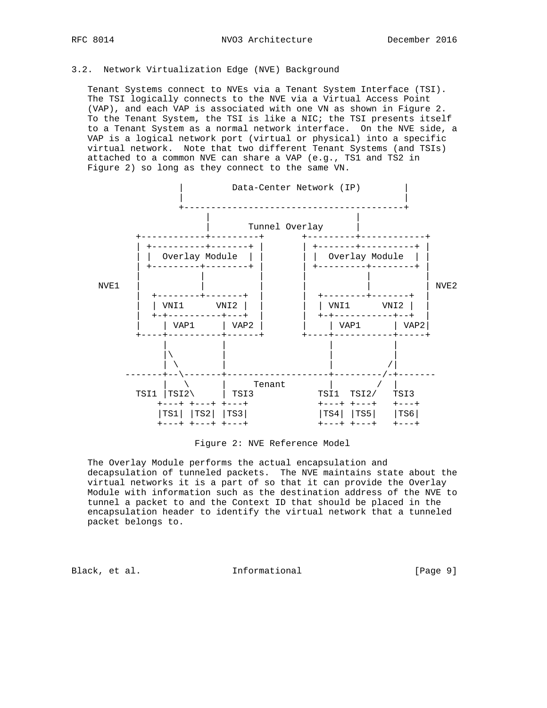# 3.2. Network Virtualization Edge (NVE) Background

 Tenant Systems connect to NVEs via a Tenant System Interface (TSI). The TSI logically connects to the NVE via a Virtual Access Point (VAP), and each VAP is associated with one VN as shown in Figure 2. To the Tenant System, the TSI is like a NIC; the TSI presents itself to a Tenant System as a normal network interface. On the NVE side, a VAP is a logical network port (virtual or physical) into a specific virtual network. Note that two different Tenant Systems (and TSIs) attached to a common NVE can share a VAP (e.g., TS1 and TS2 in Figure 2) so long as they connect to the same VN.



#### Figure 2: NVE Reference Model

 The Overlay Module performs the actual encapsulation and decapsulation of tunneled packets. The NVE maintains state about the virtual networks it is a part of so that it can provide the Overlay Module with information such as the destination address of the NVE to tunnel a packet to and the Context ID that should be placed in the encapsulation header to identify the virtual network that a tunneled packet belongs to.

Black, et al. The Informational The Informational [Page 9]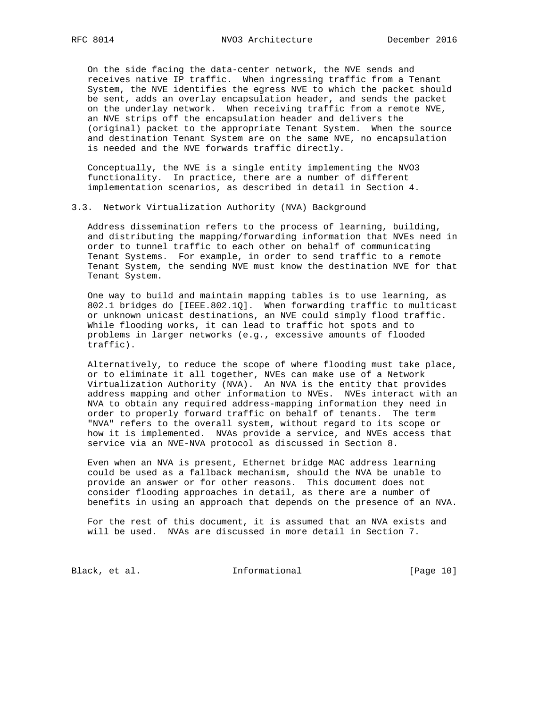On the side facing the data-center network, the NVE sends and receives native IP traffic. When ingressing traffic from a Tenant System, the NVE identifies the egress NVE to which the packet should be sent, adds an overlay encapsulation header, and sends the packet on the underlay network. When receiving traffic from a remote NVE, an NVE strips off the encapsulation header and delivers the (original) packet to the appropriate Tenant System. When the source and destination Tenant System are on the same NVE, no encapsulation is needed and the NVE forwards traffic directly.

 Conceptually, the NVE is a single entity implementing the NVO3 functionality. In practice, there are a number of different implementation scenarios, as described in detail in Section 4.

#### 3.3. Network Virtualization Authority (NVA) Background

 Address dissemination refers to the process of learning, building, and distributing the mapping/forwarding information that NVEs need in order to tunnel traffic to each other on behalf of communicating Tenant Systems. For example, in order to send traffic to a remote Tenant System, the sending NVE must know the destination NVE for that Tenant System.

 One way to build and maintain mapping tables is to use learning, as 802.1 bridges do [IEEE.802.1Q]. When forwarding traffic to multicast or unknown unicast destinations, an NVE could simply flood traffic. While flooding works, it can lead to traffic hot spots and to problems in larger networks (e.g., excessive amounts of flooded traffic).

 Alternatively, to reduce the scope of where flooding must take place, or to eliminate it all together, NVEs can make use of a Network Virtualization Authority (NVA). An NVA is the entity that provides address mapping and other information to NVEs. NVEs interact with an NVA to obtain any required address-mapping information they need in order to properly forward traffic on behalf of tenants. The term "NVA" refers to the overall system, without regard to its scope or how it is implemented. NVAs provide a service, and NVEs access that service via an NVE-NVA protocol as discussed in Section 8.

 Even when an NVA is present, Ethernet bridge MAC address learning could be used as a fallback mechanism, should the NVA be unable to provide an answer or for other reasons. This document does not consider flooding approaches in detail, as there are a number of benefits in using an approach that depends on the presence of an NVA.

 For the rest of this document, it is assumed that an NVA exists and will be used. NVAs are discussed in more detail in Section 7.

Black, et al. 1nformational [Page 10]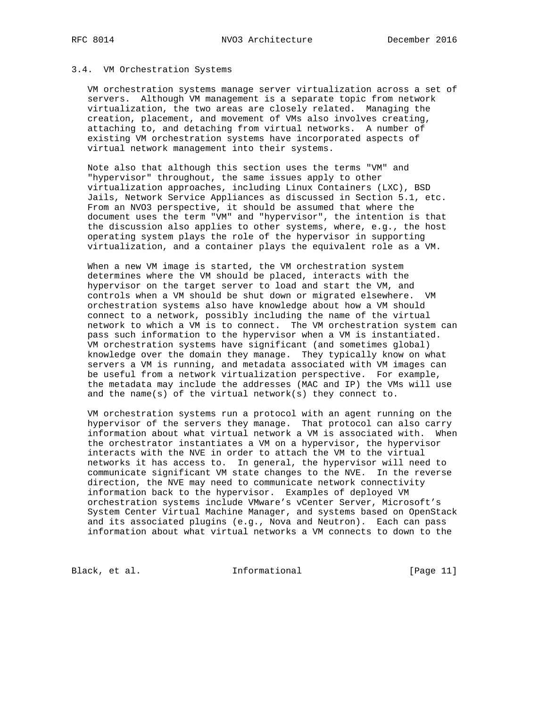## 3.4. VM Orchestration Systems

 VM orchestration systems manage server virtualization across a set of servers. Although VM management is a separate topic from network virtualization, the two areas are closely related. Managing the creation, placement, and movement of VMs also involves creating, attaching to, and detaching from virtual networks. A number of existing VM orchestration systems have incorporated aspects of virtual network management into their systems.

 Note also that although this section uses the terms "VM" and "hypervisor" throughout, the same issues apply to other virtualization approaches, including Linux Containers (LXC), BSD Jails, Network Service Appliances as discussed in Section 5.1, etc. From an NVO3 perspective, it should be assumed that where the document uses the term "VM" and "hypervisor", the intention is that the discussion also applies to other systems, where, e.g., the host operating system plays the role of the hypervisor in supporting virtualization, and a container plays the equivalent role as a VM.

 When a new VM image is started, the VM orchestration system determines where the VM should be placed, interacts with the hypervisor on the target server to load and start the VM, and controls when a VM should be shut down or migrated elsewhere. VM orchestration systems also have knowledge about how a VM should connect to a network, possibly including the name of the virtual network to which a VM is to connect. The VM orchestration system can pass such information to the hypervisor when a VM is instantiated. VM orchestration systems have significant (and sometimes global) knowledge over the domain they manage. They typically know on what servers a VM is running, and metadata associated with VM images can be useful from a network virtualization perspective. For example, the metadata may include the addresses (MAC and IP) the VMs will use and the name(s) of the virtual network(s) they connect to.

 VM orchestration systems run a protocol with an agent running on the hypervisor of the servers they manage. That protocol can also carry information about what virtual network a VM is associated with. When the orchestrator instantiates a VM on a hypervisor, the hypervisor interacts with the NVE in order to attach the VM to the virtual networks it has access to. In general, the hypervisor will need to communicate significant VM state changes to the NVE. In the reverse direction, the NVE may need to communicate network connectivity information back to the hypervisor. Examples of deployed VM orchestration systems include VMware's vCenter Server, Microsoft's System Center Virtual Machine Manager, and systems based on OpenStack and its associated plugins (e.g., Nova and Neutron). Each can pass information about what virtual networks a VM connects to down to the

Black, et al. 1nformational [Page 11]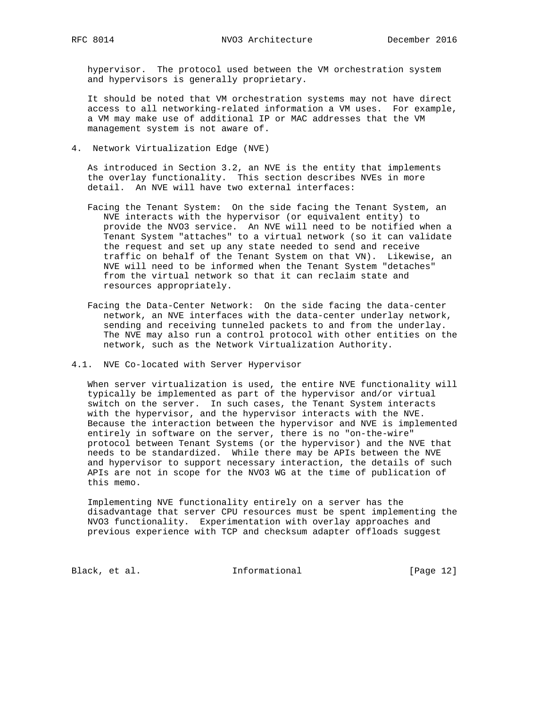hypervisor. The protocol used between the VM orchestration system and hypervisors is generally proprietary.

 It should be noted that VM orchestration systems may not have direct access to all networking-related information a VM uses. For example, a VM may make use of additional IP or MAC addresses that the VM management system is not aware of.

4. Network Virtualization Edge (NVE)

 As introduced in Section 3.2, an NVE is the entity that implements the overlay functionality. This section describes NVEs in more detail. An NVE will have two external interfaces:

- Facing the Tenant System: On the side facing the Tenant System, an NVE interacts with the hypervisor (or equivalent entity) to provide the NVO3 service. An NVE will need to be notified when a Tenant System "attaches" to a virtual network (so it can validate the request and set up any state needed to send and receive traffic on behalf of the Tenant System on that VN). Likewise, an NVE will need to be informed when the Tenant System "detaches" from the virtual network so that it can reclaim state and resources appropriately.
- Facing the Data-Center Network: On the side facing the data-center network, an NVE interfaces with the data-center underlay network, sending and receiving tunneled packets to and from the underlay. The NVE may also run a control protocol with other entities on the network, such as the Network Virtualization Authority.
- 4.1. NVE Co-located with Server Hypervisor

 When server virtualization is used, the entire NVE functionality will typically be implemented as part of the hypervisor and/or virtual switch on the server. In such cases, the Tenant System interacts with the hypervisor, and the hypervisor interacts with the NVE. Because the interaction between the hypervisor and NVE is implemented entirely in software on the server, there is no "on-the-wire" protocol between Tenant Systems (or the hypervisor) and the NVE that needs to be standardized. While there may be APIs between the NVE and hypervisor to support necessary interaction, the details of such APIs are not in scope for the NVO3 WG at the time of publication of this memo.

 Implementing NVE functionality entirely on a server has the disadvantage that server CPU resources must be spent implementing the NVO3 functionality. Experimentation with overlay approaches and previous experience with TCP and checksum adapter offloads suggest

Black, et al. 1nformational [Page 12]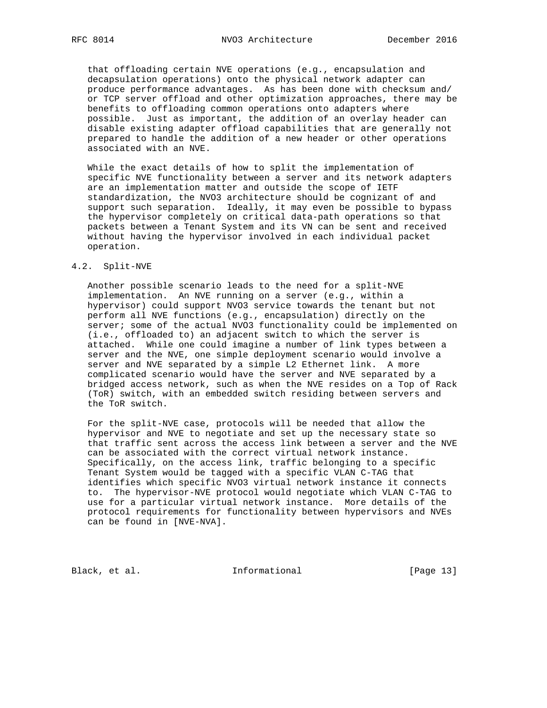that offloading certain NVE operations (e.g., encapsulation and decapsulation operations) onto the physical network adapter can produce performance advantages. As has been done with checksum and/ or TCP server offload and other optimization approaches, there may be benefits to offloading common operations onto adapters where possible. Just as important, the addition of an overlay header can disable existing adapter offload capabilities that are generally not prepared to handle the addition of a new header or other operations associated with an NVE.

 While the exact details of how to split the implementation of specific NVE functionality between a server and its network adapters are an implementation matter and outside the scope of IETF standardization, the NVO3 architecture should be cognizant of and support such separation. Ideally, it may even be possible to bypass the hypervisor completely on critical data-path operations so that packets between a Tenant System and its VN can be sent and received without having the hypervisor involved in each individual packet operation.

# 4.2. Split-NVE

 Another possible scenario leads to the need for a split-NVE implementation. An NVE running on a server (e.g., within a hypervisor) could support NVO3 service towards the tenant but not perform all NVE functions (e.g., encapsulation) directly on the server; some of the actual NVO3 functionality could be implemented on (i.e., offloaded to) an adjacent switch to which the server is attached. While one could imagine a number of link types between a server and the NVE, one simple deployment scenario would involve a server and NVE separated by a simple L2 Ethernet link. A more complicated scenario would have the server and NVE separated by a bridged access network, such as when the NVE resides on a Top of Rack (ToR) switch, with an embedded switch residing between servers and the ToR switch.

 For the split-NVE case, protocols will be needed that allow the hypervisor and NVE to negotiate and set up the necessary state so that traffic sent across the access link between a server and the NVE can be associated with the correct virtual network instance. Specifically, on the access link, traffic belonging to a specific Tenant System would be tagged with a specific VLAN C-TAG that identifies which specific NVO3 virtual network instance it connects to. The hypervisor-NVE protocol would negotiate which VLAN C-TAG to use for a particular virtual network instance. More details of the protocol requirements for functionality between hypervisors and NVEs can be found in [NVE-NVA].

Black, et al. 1nformational [Page 13]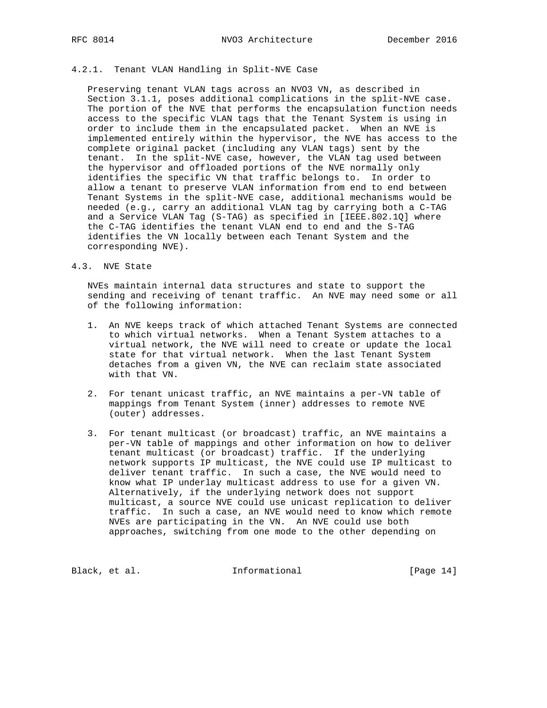# 4.2.1. Tenant VLAN Handling in Split-NVE Case

 Preserving tenant VLAN tags across an NVO3 VN, as described in Section 3.1.1, poses additional complications in the split-NVE case. The portion of the NVE that performs the encapsulation function needs access to the specific VLAN tags that the Tenant System is using in order to include them in the encapsulated packet. When an NVE is implemented entirely within the hypervisor, the NVE has access to the complete original packet (including any VLAN tags) sent by the tenant. In the split-NVE case, however, the VLAN tag used between the hypervisor and offloaded portions of the NVE normally only identifies the specific VN that traffic belongs to. In order to allow a tenant to preserve VLAN information from end to end between Tenant Systems in the split-NVE case, additional mechanisms would be needed (e.g., carry an additional VLAN tag by carrying both a C-TAG and a Service VLAN Tag (S-TAG) as specified in [IEEE.802.1Q] where the C-TAG identifies the tenant VLAN end to end and the S-TAG identifies the VN locally between each Tenant System and the corresponding NVE).

# 4.3. NVE State

 NVEs maintain internal data structures and state to support the sending and receiving of tenant traffic. An NVE may need some or all of the following information:

- 1. An NVE keeps track of which attached Tenant Systems are connected to which virtual networks. When a Tenant System attaches to a virtual network, the NVE will need to create or update the local state for that virtual network. When the last Tenant System detaches from a given VN, the NVE can reclaim state associated with that VN.
- 2. For tenant unicast traffic, an NVE maintains a per-VN table of mappings from Tenant System (inner) addresses to remote NVE (outer) addresses.
- 3. For tenant multicast (or broadcast) traffic, an NVE maintains a per-VN table of mappings and other information on how to deliver tenant multicast (or broadcast) traffic. If the underlying network supports IP multicast, the NVE could use IP multicast to deliver tenant traffic. In such a case, the NVE would need to know what IP underlay multicast address to use for a given VN. Alternatively, if the underlying network does not support multicast, a source NVE could use unicast replication to deliver traffic. In such a case, an NVE would need to know which remote NVEs are participating in the VN. An NVE could use both approaches, switching from one mode to the other depending on

Black, et al. 1nformational [Page 14]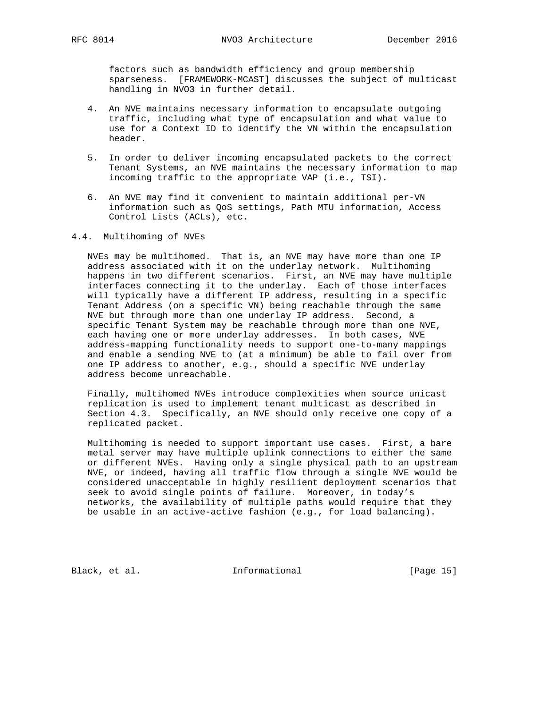factors such as bandwidth efficiency and group membership sparseness. [FRAMEWORK-MCAST] discusses the subject of multicast handling in NVO3 in further detail.

- 4. An NVE maintains necessary information to encapsulate outgoing traffic, including what type of encapsulation and what value to use for a Context ID to identify the VN within the encapsulation header.
- 5. In order to deliver incoming encapsulated packets to the correct Tenant Systems, an NVE maintains the necessary information to map incoming traffic to the appropriate VAP (i.e., TSI).
- 6. An NVE may find it convenient to maintain additional per-VN information such as QoS settings, Path MTU information, Access Control Lists (ACLs), etc.

## 4.4. Multihoming of NVEs

 NVEs may be multihomed. That is, an NVE may have more than one IP address associated with it on the underlay network. Multihoming happens in two different scenarios. First, an NVE may have multiple interfaces connecting it to the underlay. Each of those interfaces will typically have a different IP address, resulting in a specific Tenant Address (on a specific VN) being reachable through the same NVE but through more than one underlay IP address. Second, a specific Tenant System may be reachable through more than one NVE, each having one or more underlay addresses. In both cases, NVE address-mapping functionality needs to support one-to-many mappings and enable a sending NVE to (at a minimum) be able to fail over from one IP address to another, e.g., should a specific NVE underlay address become unreachable.

 Finally, multihomed NVEs introduce complexities when source unicast replication is used to implement tenant multicast as described in Section 4.3. Specifically, an NVE should only receive one copy of a replicated packet.

 Multihoming is needed to support important use cases. First, a bare metal server may have multiple uplink connections to either the same or different NVEs. Having only a single physical path to an upstream NVE, or indeed, having all traffic flow through a single NVE would be considered unacceptable in highly resilient deployment scenarios that seek to avoid single points of failure. Moreover, in today's networks, the availability of multiple paths would require that they be usable in an active-active fashion (e.g., for load balancing).

Black, et al. 1nformational [Page 15]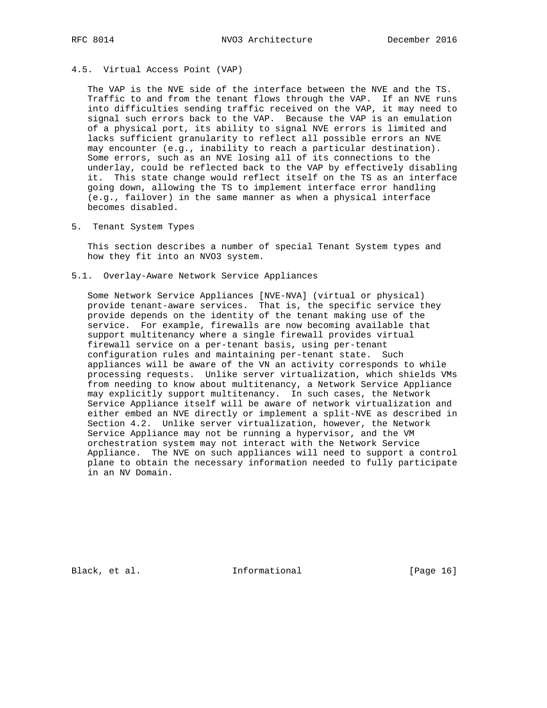# 4.5. Virtual Access Point (VAP)

 The VAP is the NVE side of the interface between the NVE and the TS. Traffic to and from the tenant flows through the VAP. If an NVE runs into difficulties sending traffic received on the VAP, it may need to signal such errors back to the VAP. Because the VAP is an emulation of a physical port, its ability to signal NVE errors is limited and lacks sufficient granularity to reflect all possible errors an NVE may encounter (e.g., inability to reach a particular destination). Some errors, such as an NVE losing all of its connections to the underlay, could be reflected back to the VAP by effectively disabling it. This state change would reflect itself on the TS as an interface going down, allowing the TS to implement interface error handling (e.g., failover) in the same manner as when a physical interface becomes disabled.

5. Tenant System Types

 This section describes a number of special Tenant System types and how they fit into an NVO3 system.

5.1. Overlay-Aware Network Service Appliances

 Some Network Service Appliances [NVE-NVA] (virtual or physical) provide tenant-aware services. That is, the specific service they provide depends on the identity of the tenant making use of the service. For example, firewalls are now becoming available that support multitenancy where a single firewall provides virtual firewall service on a per-tenant basis, using per-tenant configuration rules and maintaining per-tenant state. Such appliances will be aware of the VN an activity corresponds to while processing requests. Unlike server virtualization, which shields VMs from needing to know about multitenancy, a Network Service Appliance may explicitly support multitenancy. In such cases, the Network Service Appliance itself will be aware of network virtualization and either embed an NVE directly or implement a split-NVE as described in Section 4.2. Unlike server virtualization, however, the Network Service Appliance may not be running a hypervisor, and the VM orchestration system may not interact with the Network Service Appliance. The NVE on such appliances will need to support a control plane to obtain the necessary information needed to fully participate in an NV Domain.

Black, et al. 1nformational [Page 16]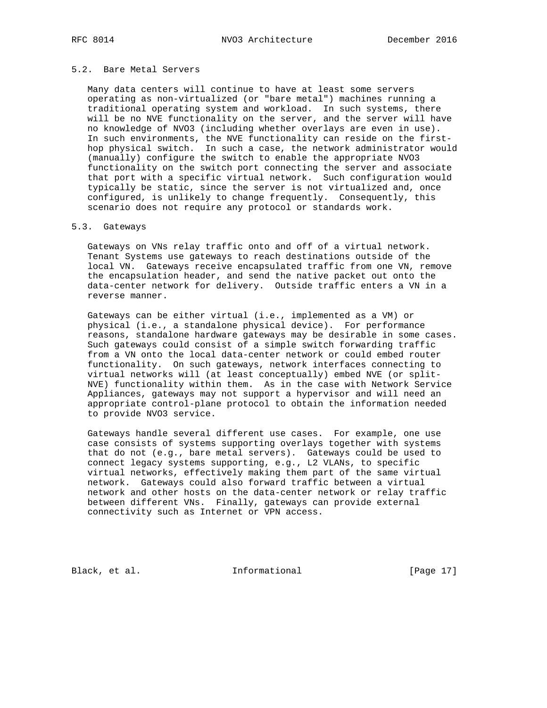# 5.2. Bare Metal Servers

 Many data centers will continue to have at least some servers operating as non-virtualized (or "bare metal") machines running a traditional operating system and workload. In such systems, there will be no NVE functionality on the server, and the server will have no knowledge of NVO3 (including whether overlays are even in use). In such environments, the NVE functionality can reside on the first hop physical switch. In such a case, the network administrator would (manually) configure the switch to enable the appropriate NVO3 functionality on the switch port connecting the server and associate that port with a specific virtual network. Such configuration would typically be static, since the server is not virtualized and, once configured, is unlikely to change frequently. Consequently, this scenario does not require any protocol or standards work.

### 5.3. Gateways

 Gateways on VNs relay traffic onto and off of a virtual network. Tenant Systems use gateways to reach destinations outside of the local VN. Gateways receive encapsulated traffic from one VN, remove the encapsulation header, and send the native packet out onto the data-center network for delivery. Outside traffic enters a VN in a reverse manner.

 Gateways can be either virtual (i.e., implemented as a VM) or physical (i.e., a standalone physical device). For performance reasons, standalone hardware gateways may be desirable in some cases. Such gateways could consist of a simple switch forwarding traffic from a VN onto the local data-center network or could embed router functionality. On such gateways, network interfaces connecting to virtual networks will (at least conceptually) embed NVE (or split- NVE) functionality within them. As in the case with Network Service Appliances, gateways may not support a hypervisor and will need an appropriate control-plane protocol to obtain the information needed to provide NVO3 service.

 Gateways handle several different use cases. For example, one use case consists of systems supporting overlays together with systems that do not (e.g., bare metal servers). Gateways could be used to connect legacy systems supporting, e.g., L2 VLANs, to specific virtual networks, effectively making them part of the same virtual network. Gateways could also forward traffic between a virtual network and other hosts on the data-center network or relay traffic between different VNs. Finally, gateways can provide external connectivity such as Internet or VPN access.

Black, et al. 1nformational [Page 17]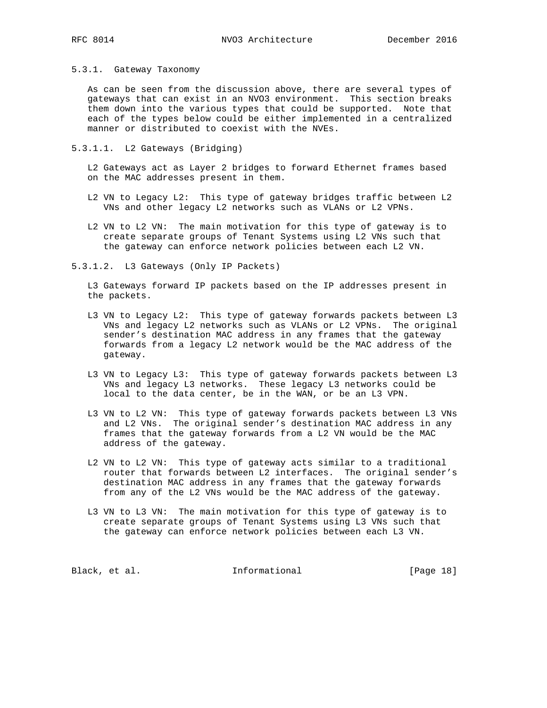5.3.1. Gateway Taxonomy

 As can be seen from the discussion above, there are several types of gateways that can exist in an NVO3 environment. This section breaks them down into the various types that could be supported. Note that each of the types below could be either implemented in a centralized manner or distributed to coexist with the NVEs.

5.3.1.1. L2 Gateways (Bridging)

 L2 Gateways act as Layer 2 bridges to forward Ethernet frames based on the MAC addresses present in them.

- L2 VN to Legacy L2: This type of gateway bridges traffic between L2 VNs and other legacy L2 networks such as VLANs or L2 VPNs.
- L2 VN to L2 VN: The main motivation for this type of gateway is to create separate groups of Tenant Systems using L2 VNs such that the gateway can enforce network policies between each L2 VN.

5.3.1.2. L3 Gateways (Only IP Packets)

 L3 Gateways forward IP packets based on the IP addresses present in the packets.

- L3 VN to Legacy L2: This type of gateway forwards packets between L3 VNs and legacy L2 networks such as VLANs or L2 VPNs. The original sender's destination MAC address in any frames that the gateway forwards from a legacy L2 network would be the MAC address of the gateway.
- L3 VN to Legacy L3: This type of gateway forwards packets between L3 VNs and legacy L3 networks. These legacy L3 networks could be local to the data center, be in the WAN, or be an L3 VPN.
- L3 VN to L2 VN: This type of gateway forwards packets between L3 VNs and L2 VNs. The original sender's destination MAC address in any frames that the gateway forwards from a L2 VN would be the MAC address of the gateway.
- L2 VN to L2 VN: This type of gateway acts similar to a traditional router that forwards between L2 interfaces. The original sender's destination MAC address in any frames that the gateway forwards from any of the L2 VNs would be the MAC address of the gateway.
- L3 VN to L3 VN: The main motivation for this type of gateway is to create separate groups of Tenant Systems using L3 VNs such that the gateway can enforce network policies between each L3 VN.

Black, et al. 1nformational [Page 18]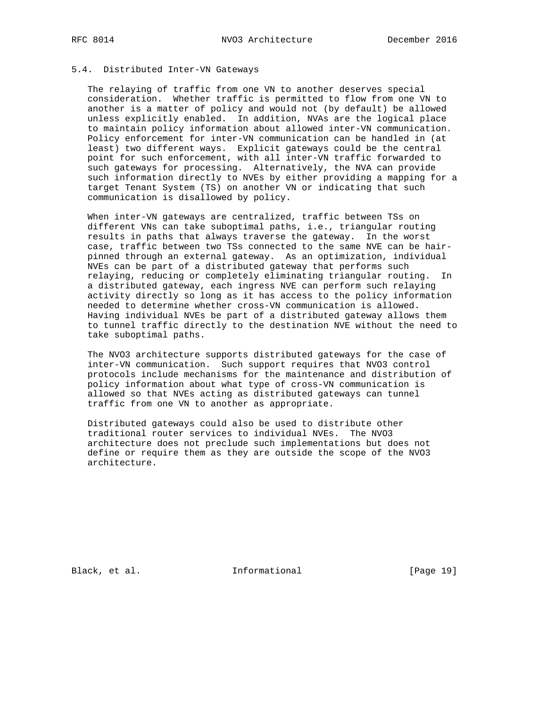## 5.4. Distributed Inter-VN Gateways

 The relaying of traffic from one VN to another deserves special consideration. Whether traffic is permitted to flow from one VN to another is a matter of policy and would not (by default) be allowed unless explicitly enabled. In addition, NVAs are the logical place to maintain policy information about allowed inter-VN communication. Policy enforcement for inter-VN communication can be handled in (at least) two different ways. Explicit gateways could be the central point for such enforcement, with all inter-VN traffic forwarded to such gateways for processing. Alternatively, the NVA can provide such information directly to NVEs by either providing a mapping for a target Tenant System (TS) on another VN or indicating that such communication is disallowed by policy.

 When inter-VN gateways are centralized, traffic between TSs on different VNs can take suboptimal paths, i.e., triangular routing results in paths that always traverse the gateway. In the worst case, traffic between two TSs connected to the same NVE can be hair pinned through an external gateway. As an optimization, individual NVEs can be part of a distributed gateway that performs such relaying, reducing or completely eliminating triangular routing. In a distributed gateway, each ingress NVE can perform such relaying activity directly so long as it has access to the policy information needed to determine whether cross-VN communication is allowed. Having individual NVEs be part of a distributed gateway allows them to tunnel traffic directly to the destination NVE without the need to take suboptimal paths.

 The NVO3 architecture supports distributed gateways for the case of inter-VN communication. Such support requires that NVO3 control protocols include mechanisms for the maintenance and distribution of policy information about what type of cross-VN communication is allowed so that NVEs acting as distributed gateways can tunnel traffic from one VN to another as appropriate.

 Distributed gateways could also be used to distribute other traditional router services to individual NVEs. The NVO3 architecture does not preclude such implementations but does not define or require them as they are outside the scope of the NVO3 architecture.

Black, et al. 1nformational [Page 19]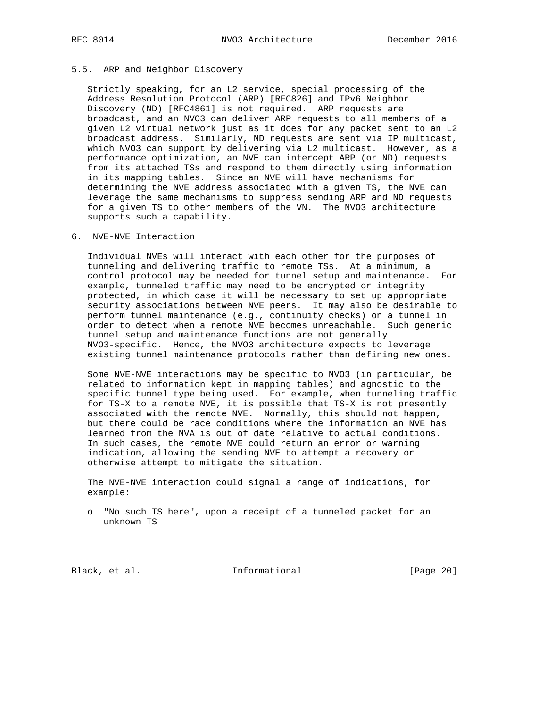# 5.5. ARP and Neighbor Discovery

 Strictly speaking, for an L2 service, special processing of the Address Resolution Protocol (ARP) [RFC826] and IPv6 Neighbor Discovery (ND) [RFC4861] is not required. ARP requests are broadcast, and an NVO3 can deliver ARP requests to all members of a given L2 virtual network just as it does for any packet sent to an L2 broadcast address. Similarly, ND requests are sent via IP multicast, which NVO3 can support by delivering via L2 multicast. However, as a performance optimization, an NVE can intercept ARP (or ND) requests from its attached TSs and respond to them directly using information in its mapping tables. Since an NVE will have mechanisms for determining the NVE address associated with a given TS, the NVE can leverage the same mechanisms to suppress sending ARP and ND requests for a given TS to other members of the VN. The NVO3 architecture supports such a capability.

# 6. NVE-NVE Interaction

 Individual NVEs will interact with each other for the purposes of tunneling and delivering traffic to remote TSs. At a minimum, a control protocol may be needed for tunnel setup and maintenance. For example, tunneled traffic may need to be encrypted or integrity protected, in which case it will be necessary to set up appropriate security associations between NVE peers. It may also be desirable to perform tunnel maintenance (e.g., continuity checks) on a tunnel in order to detect when a remote NVE becomes unreachable. Such generic tunnel setup and maintenance functions are not generally NVO3-specific. Hence, the NVO3 architecture expects to leverage existing tunnel maintenance protocols rather than defining new ones.

 Some NVE-NVE interactions may be specific to NVO3 (in particular, be related to information kept in mapping tables) and agnostic to the specific tunnel type being used. For example, when tunneling traffic for TS-X to a remote NVE, it is possible that TS-X is not presently associated with the remote NVE. Normally, this should not happen, but there could be race conditions where the information an NVE has learned from the NVA is out of date relative to actual conditions. In such cases, the remote NVE could return an error or warning indication, allowing the sending NVE to attempt a recovery or otherwise attempt to mitigate the situation.

 The NVE-NVE interaction could signal a range of indications, for example:

 o "No such TS here", upon a receipt of a tunneled packet for an unknown TS

Black, et al. 1nformational [Page 20]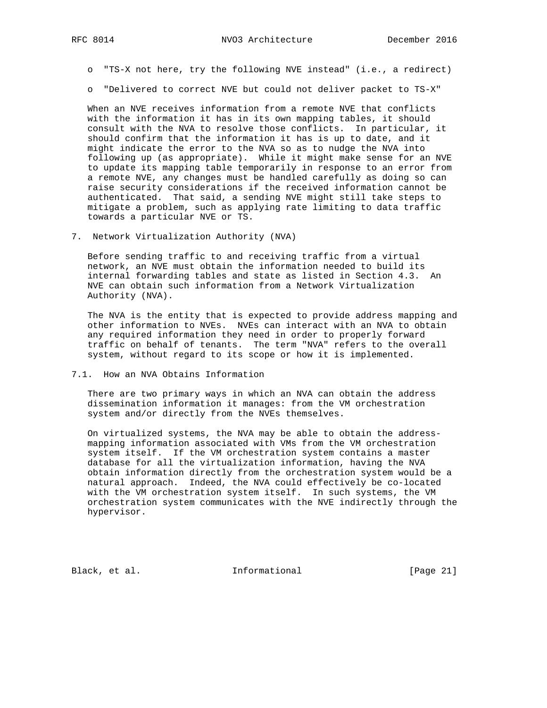o "TS-X not here, try the following NVE instead" (i.e., a redirect)

o "Delivered to correct NVE but could not deliver packet to TS-X"

 When an NVE receives information from a remote NVE that conflicts with the information it has in its own mapping tables, it should consult with the NVA to resolve those conflicts. In particular, it should confirm that the information it has is up to date, and it might indicate the error to the NVA so as to nudge the NVA into following up (as appropriate). While it might make sense for an NVE to update its mapping table temporarily in response to an error from a remote NVE, any changes must be handled carefully as doing so can raise security considerations if the received information cannot be authenticated. That said, a sending NVE might still take steps to mitigate a problem, such as applying rate limiting to data traffic towards a particular NVE or TS.

7. Network Virtualization Authority (NVA)

 Before sending traffic to and receiving traffic from a virtual network, an NVE must obtain the information needed to build its internal forwarding tables and state as listed in Section 4.3. An NVE can obtain such information from a Network Virtualization Authority (NVA).

 The NVA is the entity that is expected to provide address mapping and other information to NVEs. NVEs can interact with an NVA to obtain any required information they need in order to properly forward traffic on behalf of tenants. The term "NVA" refers to the overall system, without regard to its scope or how it is implemented.

7.1. How an NVA Obtains Information

 There are two primary ways in which an NVA can obtain the address dissemination information it manages: from the VM orchestration system and/or directly from the NVEs themselves.

 On virtualized systems, the NVA may be able to obtain the address mapping information associated with VMs from the VM orchestration system itself. If the VM orchestration system contains a master database for all the virtualization information, having the NVA obtain information directly from the orchestration system would be a natural approach. Indeed, the NVA could effectively be co-located with the VM orchestration system itself. In such systems, the VM orchestration system communicates with the NVE indirectly through the hypervisor.

Black, et al. 1nformational [Page 21]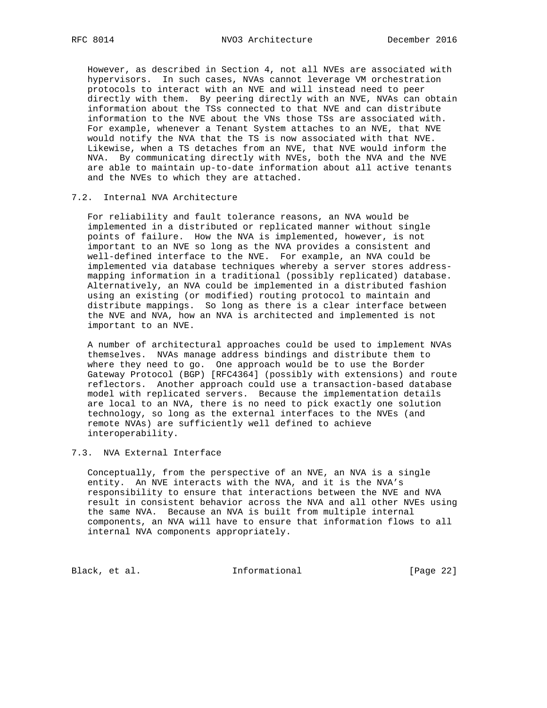However, as described in Section 4, not all NVEs are associated with hypervisors. In such cases, NVAs cannot leverage VM orchestration protocols to interact with an NVE and will instead need to peer directly with them. By peering directly with an NVE, NVAs can obtain information about the TSs connected to that NVE and can distribute information to the NVE about the VNs those TSs are associated with. For example, whenever a Tenant System attaches to an NVE, that NVE would notify the NVA that the TS is now associated with that NVE. Likewise, when a TS detaches from an NVE, that NVE would inform the NVA. By communicating directly with NVEs, both the NVA and the NVE are able to maintain up-to-date information about all active tenants and the NVEs to which they are attached.

## 7.2. Internal NVA Architecture

 For reliability and fault tolerance reasons, an NVA would be implemented in a distributed or replicated manner without single points of failure. How the NVA is implemented, however, is not important to an NVE so long as the NVA provides a consistent and well-defined interface to the NVE. For example, an NVA could be implemented via database techniques whereby a server stores address mapping information in a traditional (possibly replicated) database. Alternatively, an NVA could be implemented in a distributed fashion using an existing (or modified) routing protocol to maintain and distribute mappings. So long as there is a clear interface between the NVE and NVA, how an NVA is architected and implemented is not important to an NVE.

 A number of architectural approaches could be used to implement NVAs themselves. NVAs manage address bindings and distribute them to where they need to go. One approach would be to use the Border Gateway Protocol (BGP) [RFC4364] (possibly with extensions) and route reflectors. Another approach could use a transaction-based database model with replicated servers. Because the implementation details are local to an NVA, there is no need to pick exactly one solution technology, so long as the external interfaces to the NVEs (and remote NVAs) are sufficiently well defined to achieve interoperability.

## 7.3. NVA External Interface

 Conceptually, from the perspective of an NVE, an NVA is a single entity. An NVE interacts with the NVA, and it is the NVA's responsibility to ensure that interactions between the NVE and NVA result in consistent behavior across the NVA and all other NVEs using the same NVA. Because an NVA is built from multiple internal components, an NVA will have to ensure that information flows to all internal NVA components appropriately.

Black, et al. 1nformational [Page 22]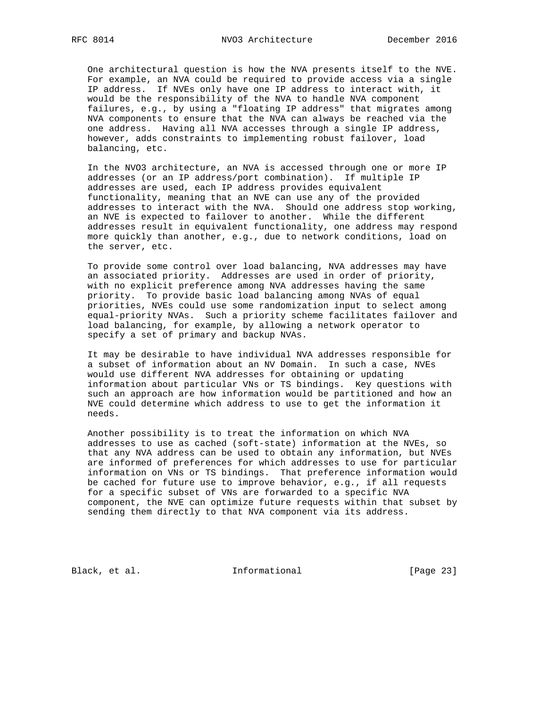One architectural question is how the NVA presents itself to the NVE. For example, an NVA could be required to provide access via a single IP address. If NVEs only have one IP address to interact with, it would be the responsibility of the NVA to handle NVA component failures, e.g., by using a "floating IP address" that migrates among NVA components to ensure that the NVA can always be reached via the one address. Having all NVA accesses through a single IP address, however, adds constraints to implementing robust failover, load balancing, etc.

 In the NVO3 architecture, an NVA is accessed through one or more IP addresses (or an IP address/port combination). If multiple IP addresses are used, each IP address provides equivalent functionality, meaning that an NVE can use any of the provided addresses to interact with the NVA. Should one address stop working, an NVE is expected to failover to another. While the different addresses result in equivalent functionality, one address may respond more quickly than another, e.g., due to network conditions, load on the server, etc.

 To provide some control over load balancing, NVA addresses may have an associated priority. Addresses are used in order of priority, with no explicit preference among NVA addresses having the same priority. To provide basic load balancing among NVAs of equal priorities, NVEs could use some randomization input to select among equal-priority NVAs. Such a priority scheme facilitates failover and load balancing, for example, by allowing a network operator to specify a set of primary and backup NVAs.

 It may be desirable to have individual NVA addresses responsible for a subset of information about an NV Domain. In such a case, NVEs would use different NVA addresses for obtaining or updating information about particular VNs or TS bindings. Key questions with such an approach are how information would be partitioned and how an NVE could determine which address to use to get the information it needs.

 Another possibility is to treat the information on which NVA addresses to use as cached (soft-state) information at the NVEs, so that any NVA address can be used to obtain any information, but NVEs are informed of preferences for which addresses to use for particular information on VNs or TS bindings. That preference information would be cached for future use to improve behavior, e.g., if all requests for a specific subset of VNs are forwarded to a specific NVA component, the NVE can optimize future requests within that subset by sending them directly to that NVA component via its address.

Black, et al. 1nformational [Page 23]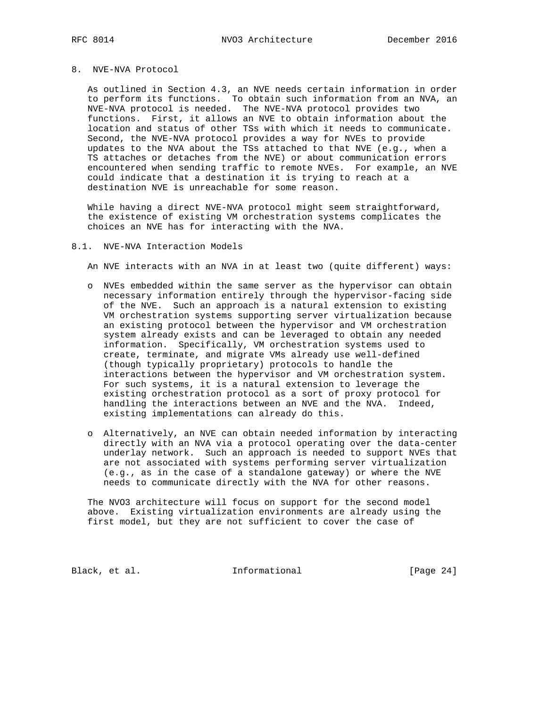# 8. NVE-NVA Protocol

 As outlined in Section 4.3, an NVE needs certain information in order to perform its functions. To obtain such information from an NVA, an NVE-NVA protocol is needed. The NVE-NVA protocol provides two functions. First, it allows an NVE to obtain information about the location and status of other TSs with which it needs to communicate. Second, the NVE-NVA protocol provides a way for NVEs to provide updates to the NVA about the TSs attached to that NVE (e.g., when a TS attaches or detaches from the NVE) or about communication errors encountered when sending traffic to remote NVEs. For example, an NVE could indicate that a destination it is trying to reach at a destination NVE is unreachable for some reason.

 While having a direct NVE-NVA protocol might seem straightforward, the existence of existing VM orchestration systems complicates the choices an NVE has for interacting with the NVA.

#### 8.1. NVE-NVA Interaction Models

An NVE interacts with an NVA in at least two (quite different) ways:

- o NVEs embedded within the same server as the hypervisor can obtain necessary information entirely through the hypervisor-facing side of the NVE. Such an approach is a natural extension to existing VM orchestration systems supporting server virtualization because an existing protocol between the hypervisor and VM orchestration system already exists and can be leveraged to obtain any needed information. Specifically, VM orchestration systems used to create, terminate, and migrate VMs already use well-defined (though typically proprietary) protocols to handle the interactions between the hypervisor and VM orchestration system. For such systems, it is a natural extension to leverage the existing orchestration protocol as a sort of proxy protocol for handling the interactions between an NVE and the NVA. Indeed, existing implementations can already do this.
- o Alternatively, an NVE can obtain needed information by interacting directly with an NVA via a protocol operating over the data-center underlay network. Such an approach is needed to support NVEs that are not associated with systems performing server virtualization (e.g., as in the case of a standalone gateway) or where the NVE needs to communicate directly with the NVA for other reasons.

 The NVO3 architecture will focus on support for the second model above. Existing virtualization environments are already using the first model, but they are not sufficient to cover the case of

Black, et al. 1nformational [Page 24]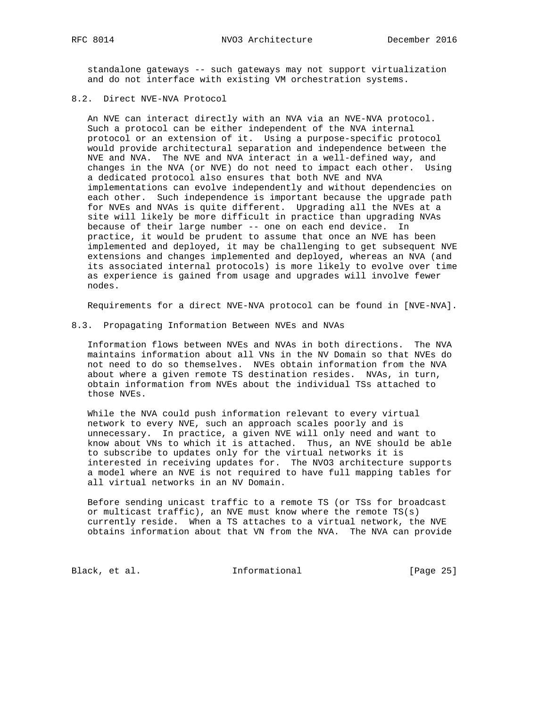standalone gateways -- such gateways may not support virtualization and do not interface with existing VM orchestration systems.

# 8.2. Direct NVE-NVA Protocol

 An NVE can interact directly with an NVA via an NVE-NVA protocol. Such a protocol can be either independent of the NVA internal protocol or an extension of it. Using a purpose-specific protocol would provide architectural separation and independence between the NVE and NVA. The NVE and NVA interact in a well-defined way, and changes in the NVA (or NVE) do not need to impact each other. Using a dedicated protocol also ensures that both NVE and NVA implementations can evolve independently and without dependencies on each other. Such independence is important because the upgrade path for NVEs and NVAs is quite different. Upgrading all the NVEs at a site will likely be more difficult in practice than upgrading NVAs because of their large number -- one on each end device. In practice, it would be prudent to assume that once an NVE has been implemented and deployed, it may be challenging to get subsequent NVE extensions and changes implemented and deployed, whereas an NVA (and its associated internal protocols) is more likely to evolve over time as experience is gained from usage and upgrades will involve fewer nodes.

Requirements for a direct NVE-NVA protocol can be found in [NVE-NVA].

#### 8.3. Propagating Information Between NVEs and NVAs

 Information flows between NVEs and NVAs in both directions. The NVA maintains information about all VNs in the NV Domain so that NVEs do not need to do so themselves. NVEs obtain information from the NVA about where a given remote TS destination resides. NVAs, in turn, obtain information from NVEs about the individual TSs attached to those NVEs.

 While the NVA could push information relevant to every virtual network to every NVE, such an approach scales poorly and is unnecessary. In practice, a given NVE will only need and want to know about VNs to which it is attached. Thus, an NVE should be able to subscribe to updates only for the virtual networks it is interested in receiving updates for. The NVO3 architecture supports a model where an NVE is not required to have full mapping tables for all virtual networks in an NV Domain.

 Before sending unicast traffic to a remote TS (or TSs for broadcast or multicast traffic), an NVE must know where the remote TS(s) currently reside. When a TS attaches to a virtual network, the NVE obtains information about that VN from the NVA. The NVA can provide

Black, et al. 1nformational [Page 25]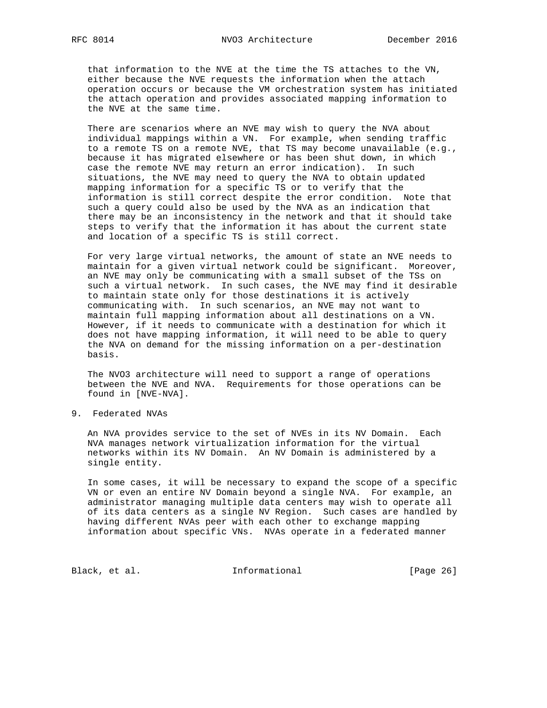that information to the NVE at the time the TS attaches to the VN, either because the NVE requests the information when the attach operation occurs or because the VM orchestration system has initiated the attach operation and provides associated mapping information to the NVE at the same time.

 There are scenarios where an NVE may wish to query the NVA about individual mappings within a VN. For example, when sending traffic to a remote TS on a remote NVE, that TS may become unavailable (e.g., because it has migrated elsewhere or has been shut down, in which case the remote NVE may return an error indication). In such situations, the NVE may need to query the NVA to obtain updated mapping information for a specific TS or to verify that the information is still correct despite the error condition. Note that such a query could also be used by the NVA as an indication that there may be an inconsistency in the network and that it should take steps to verify that the information it has about the current state and location of a specific TS is still correct.

 For very large virtual networks, the amount of state an NVE needs to maintain for a given virtual network could be significant. Moreover, an NVE may only be communicating with a small subset of the TSs on such a virtual network. In such cases, the NVE may find it desirable to maintain state only for those destinations it is actively communicating with. In such scenarios, an NVE may not want to maintain full mapping information about all destinations on a VN. However, if it needs to communicate with a destination for which it does not have mapping information, it will need to be able to query the NVA on demand for the missing information on a per-destination basis.

 The NVO3 architecture will need to support a range of operations between the NVE and NVA. Requirements for those operations can be found in [NVE-NVA].

9. Federated NVAs

 An NVA provides service to the set of NVEs in its NV Domain. Each NVA manages network virtualization information for the virtual networks within its NV Domain. An NV Domain is administered by a single entity.

 In some cases, it will be necessary to expand the scope of a specific VN or even an entire NV Domain beyond a single NVA. For example, an administrator managing multiple data centers may wish to operate all of its data centers as a single NV Region. Such cases are handled by having different NVAs peer with each other to exchange mapping information about specific VNs. NVAs operate in a federated manner

Black, et al. 1nformational [Page 26]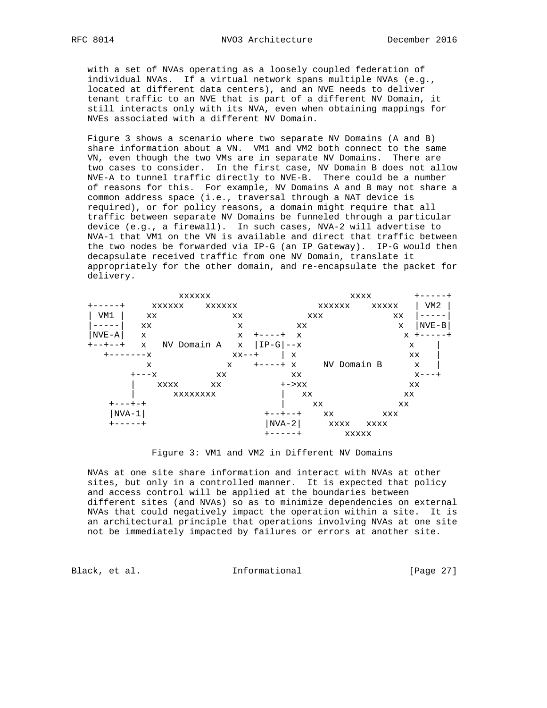with a set of NVAs operating as a loosely coupled federation of individual NVAs. If a virtual network spans multiple NVAs (e.g., located at different data centers), and an NVE needs to deliver tenant traffic to an NVE that is part of a different NV Domain, it still interacts only with its NVA, even when obtaining mappings for NVEs associated with a different NV Domain.

 Figure 3 shows a scenario where two separate NV Domains (A and B) share information about a VN. VM1 and VM2 both connect to the same VN, even though the two VMs are in separate NV Domains. There are two cases to consider. In the first case, NV Domain B does not allow NVE-A to tunnel traffic directly to NVE-B. There could be a number of reasons for this. For example, NV Domains A and B may not share a common address space (i.e., traversal through a NAT device is required), or for policy reasons, a domain might require that all traffic between separate NV Domains be funneled through a particular device (e.g., a firewall). In such cases, NVA-2 will advertise to NVA-1 that VM1 on the VN is available and direct that traffic between the two nodes be forwarded via IP-G (an IP Gateway). IP-G would then decapsulate received traffic from one NV Domain, translate it appropriately for the other domain, and re-encapsulate the packet for delivery.



Figure 3: VM1 and VM2 in Different NV Domains

 NVAs at one site share information and interact with NVAs at other sites, but only in a controlled manner. It is expected that policy and access control will be applied at the boundaries between different sites (and NVAs) so as to minimize dependencies on external NVAs that could negatively impact the operation within a site. It is an architectural principle that operations involving NVAs at one site not be immediately impacted by failures or errors at another site.

Black, et al. 1nformational [Page 27]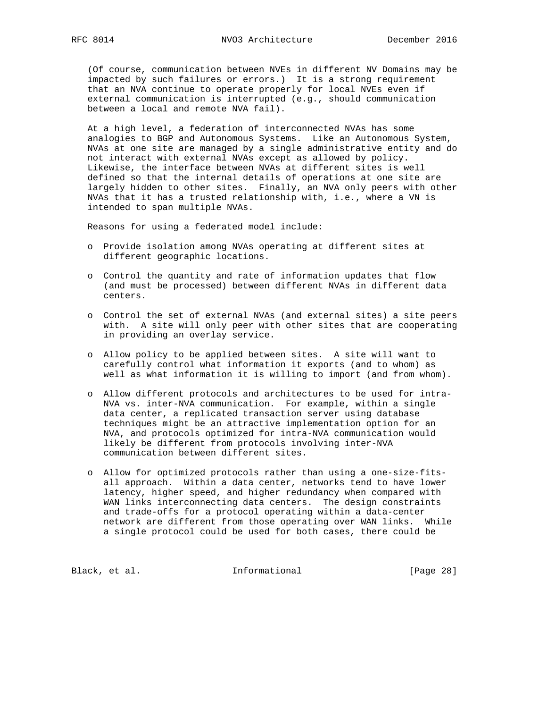(Of course, communication between NVEs in different NV Domains may be impacted by such failures or errors.) It is a strong requirement that an NVA continue to operate properly for local NVEs even if external communication is interrupted (e.g., should communication between a local and remote NVA fail).

 At a high level, a federation of interconnected NVAs has some analogies to BGP and Autonomous Systems. Like an Autonomous System, NVAs at one site are managed by a single administrative entity and do not interact with external NVAs except as allowed by policy. Likewise, the interface between NVAs at different sites is well defined so that the internal details of operations at one site are largely hidden to other sites. Finally, an NVA only peers with other NVAs that it has a trusted relationship with, i.e., where a VN is intended to span multiple NVAs.

Reasons for using a federated model include:

- o Provide isolation among NVAs operating at different sites at different geographic locations.
- o Control the quantity and rate of information updates that flow (and must be processed) between different NVAs in different data centers.
- o Control the set of external NVAs (and external sites) a site peers with. A site will only peer with other sites that are cooperating in providing an overlay service.
- o Allow policy to be applied between sites. A site will want to carefully control what information it exports (and to whom) as well as what information it is willing to import (and from whom).
- o Allow different protocols and architectures to be used for intra- NVA vs. inter-NVA communication. For example, within a single data center, a replicated transaction server using database techniques might be an attractive implementation option for an NVA, and protocols optimized for intra-NVA communication would likely be different from protocols involving inter-NVA communication between different sites.
- o Allow for optimized protocols rather than using a one-size-fits all approach. Within a data center, networks tend to have lower latency, higher speed, and higher redundancy when compared with WAN links interconnecting data centers. The design constraints and trade-offs for a protocol operating within a data-center network are different from those operating over WAN links. While a single protocol could be used for both cases, there could be

Black, et al. 1nformational [Page 28]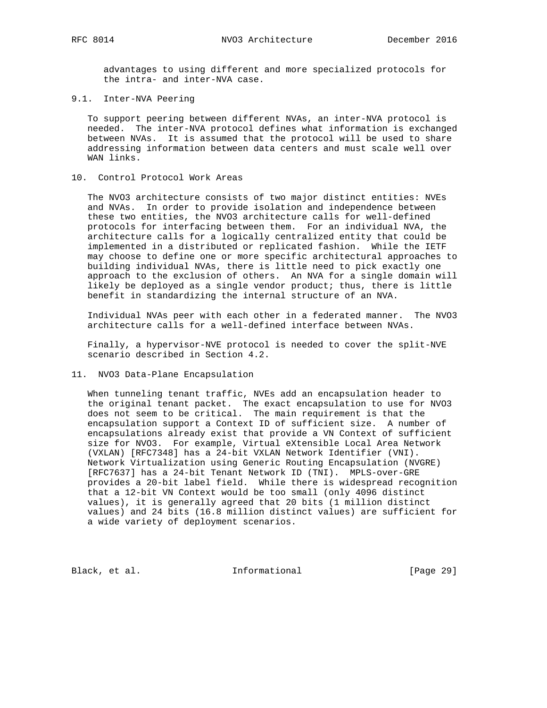advantages to using different and more specialized protocols for the intra- and inter-NVA case.

9.1. Inter-NVA Peering

 To support peering between different NVAs, an inter-NVA protocol is needed. The inter-NVA protocol defines what information is exchanged between NVAs. It is assumed that the protocol will be used to share addressing information between data centers and must scale well over WAN links.

### 10. Control Protocol Work Areas

 The NVO3 architecture consists of two major distinct entities: NVEs and NVAs. In order to provide isolation and independence between these two entities, the NVO3 architecture calls for well-defined protocols for interfacing between them. For an individual NVA, the architecture calls for a logically centralized entity that could be implemented in a distributed or replicated fashion. While the IETF may choose to define one or more specific architectural approaches to building individual NVAs, there is little need to pick exactly one approach to the exclusion of others. An NVA for a single domain will likely be deployed as a single vendor product; thus, there is little benefit in standardizing the internal structure of an NVA.

 Individual NVAs peer with each other in a federated manner. The NVO3 architecture calls for a well-defined interface between NVAs.

 Finally, a hypervisor-NVE protocol is needed to cover the split-NVE scenario described in Section 4.2.

11. NVO3 Data-Plane Encapsulation

 When tunneling tenant traffic, NVEs add an encapsulation header to the original tenant packet. The exact encapsulation to use for NVO3 does not seem to be critical. The main requirement is that the encapsulation support a Context ID of sufficient size. A number of encapsulations already exist that provide a VN Context of sufficient size for NVO3. For example, Virtual eXtensible Local Area Network (VXLAN) [RFC7348] has a 24-bit VXLAN Network Identifier (VNI). Network Virtualization using Generic Routing Encapsulation (NVGRE) [RFC7637] has a 24-bit Tenant Network ID (TNI). MPLS-over-GRE provides a 20-bit label field. While there is widespread recognition that a 12-bit VN Context would be too small (only 4096 distinct values), it is generally agreed that 20 bits (1 million distinct values) and 24 bits (16.8 million distinct values) are sufficient for a wide variety of deployment scenarios.

Black, et al. 1nformational [Page 29]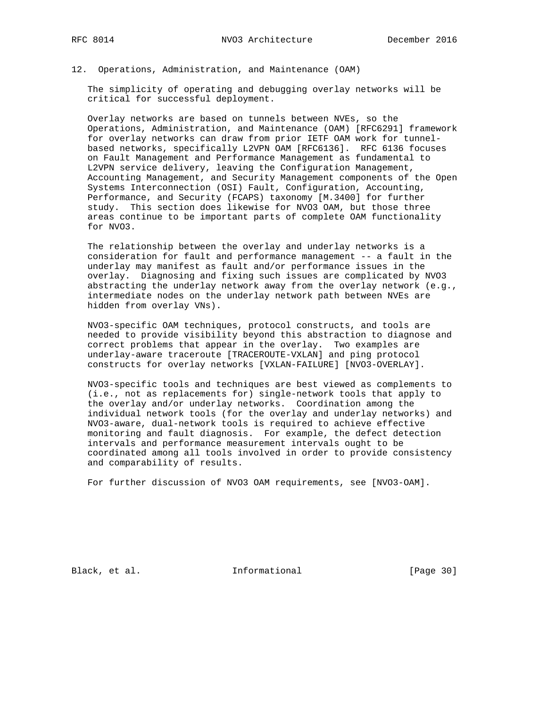#### 12. Operations, Administration, and Maintenance (OAM)

 The simplicity of operating and debugging overlay networks will be critical for successful deployment.

 Overlay networks are based on tunnels between NVEs, so the Operations, Administration, and Maintenance (OAM) [RFC6291] framework for overlay networks can draw from prior IETF OAM work for tunnel based networks, specifically L2VPN OAM [RFC6136]. RFC 6136 focuses on Fault Management and Performance Management as fundamental to L2VPN service delivery, leaving the Configuration Management, Accounting Management, and Security Management components of the Open Systems Interconnection (OSI) Fault, Configuration, Accounting, Performance, and Security (FCAPS) taxonomy [M.3400] for further study. This section does likewise for NVO3 OAM, but those three areas continue to be important parts of complete OAM functionality for NVO3.

 The relationship between the overlay and underlay networks is a consideration for fault and performance management -- a fault in the underlay may manifest as fault and/or performance issues in the overlay. Diagnosing and fixing such issues are complicated by NVO3 abstracting the underlay network away from the overlay network (e.g., intermediate nodes on the underlay network path between NVEs are hidden from overlay VNs).

 NVO3-specific OAM techniques, protocol constructs, and tools are needed to provide visibility beyond this abstraction to diagnose and correct problems that appear in the overlay. Two examples are underlay-aware traceroute [TRACEROUTE-VXLAN] and ping protocol constructs for overlay networks [VXLAN-FAILURE] [NVO3-OVERLAY].

 NVO3-specific tools and techniques are best viewed as complements to (i.e., not as replacements for) single-network tools that apply to the overlay and/or underlay networks. Coordination among the individual network tools (for the overlay and underlay networks) and NVO3-aware, dual-network tools is required to achieve effective monitoring and fault diagnosis. For example, the defect detection intervals and performance measurement intervals ought to be coordinated among all tools involved in order to provide consistency and comparability of results.

For further discussion of NVO3 OAM requirements, see [NVO3-OAM].

Black, et al. 1nformational [Page 30]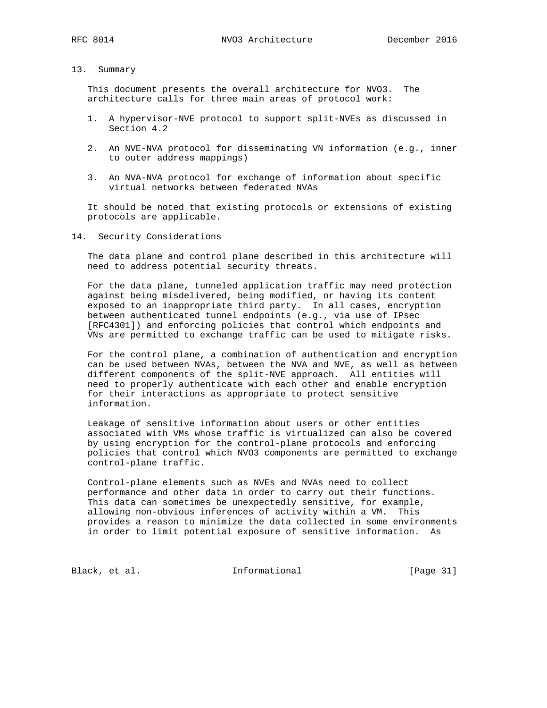# 13. Summary

 This document presents the overall architecture for NVO3. The architecture calls for three main areas of protocol work:

- 1. A hypervisor-NVE protocol to support split-NVEs as discussed in Section 4.2
- 2. An NVE-NVA protocol for disseminating VN information (e.g., inner to outer address mappings)
- 3. An NVA-NVA protocol for exchange of information about specific virtual networks between federated NVAs

 It should be noted that existing protocols or extensions of existing protocols are applicable.

14. Security Considerations

 The data plane and control plane described in this architecture will need to address potential security threats.

 For the data plane, tunneled application traffic may need protection against being misdelivered, being modified, or having its content exposed to an inappropriate third party. In all cases, encryption between authenticated tunnel endpoints (e.g., via use of IPsec [RFC4301]) and enforcing policies that control which endpoints and VNs are permitted to exchange traffic can be used to mitigate risks.

 For the control plane, a combination of authentication and encryption can be used between NVAs, between the NVA and NVE, as well as between different components of the split-NVE approach. All entities will need to properly authenticate with each other and enable encryption for their interactions as appropriate to protect sensitive information.

 Leakage of sensitive information about users or other entities associated with VMs whose traffic is virtualized can also be covered by using encryption for the control-plane protocols and enforcing policies that control which NVO3 components are permitted to exchange control-plane traffic.

 Control-plane elements such as NVEs and NVAs need to collect performance and other data in order to carry out their functions. This data can sometimes be unexpectedly sensitive, for example, allowing non-obvious inferences of activity within a VM. This provides a reason to minimize the data collected in some environments in order to limit potential exposure of sensitive information. As

Black, et al. 1nformational [Page 31]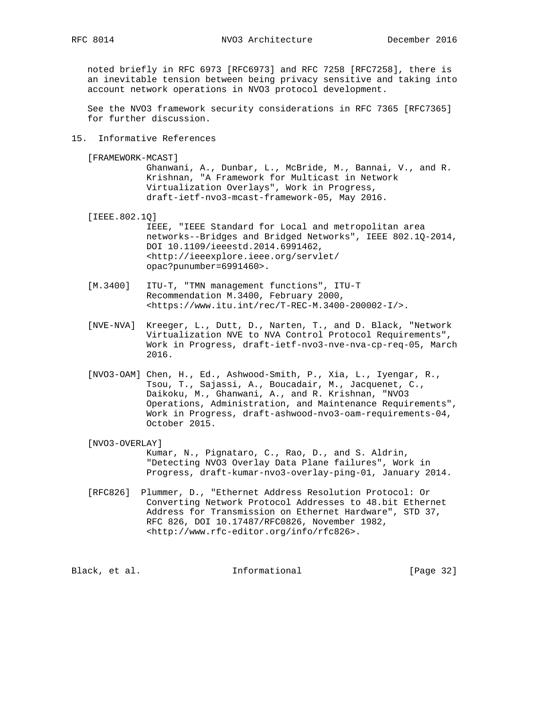noted briefly in RFC 6973 [RFC6973] and RFC 7258 [RFC7258], there is an inevitable tension between being privacy sensitive and taking into account network operations in NVO3 protocol development.

 See the NVO3 framework security considerations in RFC 7365 [RFC7365] for further discussion.

# 15. Informative References

[FRAMEWORK-MCAST]

 Ghanwani, A., Dunbar, L., McBride, M., Bannai, V., and R. Krishnan, "A Framework for Multicast in Network Virtualization Overlays", Work in Progress, draft-ietf-nvo3-mcast-framework-05, May 2016.

[IEEE.802.1Q]

 IEEE, "IEEE Standard for Local and metropolitan area networks--Bridges and Bridged Networks", IEEE 802.1Q-2014, DOI 10.1109/ieeestd.2014.6991462, <http://ieeexplore.ieee.org/servlet/ opac?punumber=6991460>.

- [M.3400] ITU-T, "TMN management functions", ITU-T Recommendation M.3400, February 2000, <https://www.itu.int/rec/T-REC-M.3400-200002-I/>.
- [NVE-NVA] Kreeger, L., Dutt, D., Narten, T., and D. Black, "Network Virtualization NVE to NVA Control Protocol Requirements", Work in Progress, draft-ietf-nvo3-nve-nva-cp-req-05, March 2016.
- [NVO3-OAM] Chen, H., Ed., Ashwood-Smith, P., Xia, L., Iyengar, R., Tsou, T., Sajassi, A., Boucadair, M., Jacquenet, C., Daikoku, M., Ghanwani, A., and R. Krishnan, "NVO3 Operations, Administration, and Maintenance Requirements", Work in Progress, draft-ashwood-nvo3-oam-requirements-04, October 2015.

#### [NVO3-OVERLAY]

 Kumar, N., Pignataro, C., Rao, D., and S. Aldrin, "Detecting NVO3 Overlay Data Plane failures", Work in Progress, draft-kumar-nvo3-overlay-ping-01, January 2014.

 [RFC826] Plummer, D., "Ethernet Address Resolution Protocol: Or Converting Network Protocol Addresses to 48.bit Ethernet Address for Transmission on Ethernet Hardware", STD 37, RFC 826, DOI 10.17487/RFC0826, November 1982, <http://www.rfc-editor.org/info/rfc826>.

Black, et al. 1nformational [Page 32]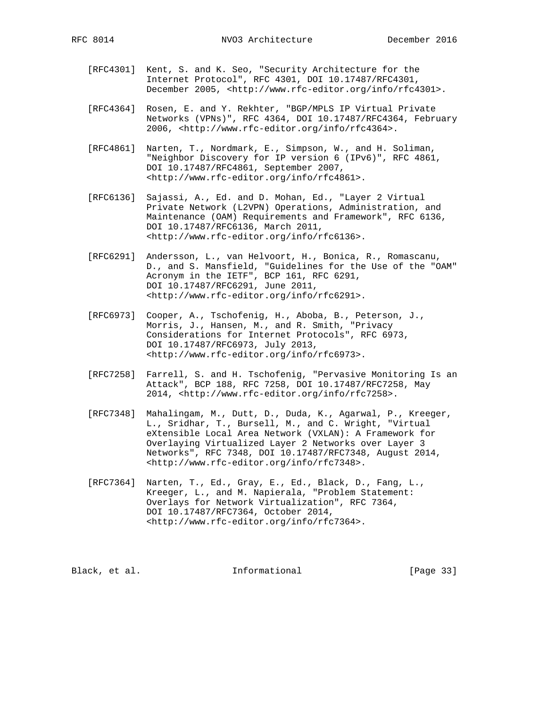- [RFC4301] Kent, S. and K. Seo, "Security Architecture for the Internet Protocol", RFC 4301, DOI 10.17487/RFC4301, December 2005, <http://www.rfc-editor.org/info/rfc4301>.
- [RFC4364] Rosen, E. and Y. Rekhter, "BGP/MPLS IP Virtual Private Networks (VPNs)", RFC 4364, DOI 10.17487/RFC4364, February 2006, <http://www.rfc-editor.org/info/rfc4364>.
- [RFC4861] Narten, T., Nordmark, E., Simpson, W., and H. Soliman, "Neighbor Discovery for IP version 6 (IPv6)", RFC 4861, DOI 10.17487/RFC4861, September 2007, <http://www.rfc-editor.org/info/rfc4861>.
- [RFC6136] Sajassi, A., Ed. and D. Mohan, Ed., "Layer 2 Virtual Private Network (L2VPN) Operations, Administration, and Maintenance (OAM) Requirements and Framework", RFC 6136, DOI 10.17487/RFC6136, March 2011, <http://www.rfc-editor.org/info/rfc6136>.
	- [RFC6291] Andersson, L., van Helvoort, H., Bonica, R., Romascanu, D., and S. Mansfield, "Guidelines for the Use of the "OAM" Acronym in the IETF", BCP 161, RFC 6291, DOI 10.17487/RFC6291, June 2011, <http://www.rfc-editor.org/info/rfc6291>.
	- [RFC6973] Cooper, A., Tschofenig, H., Aboba, B., Peterson, J., Morris, J., Hansen, M., and R. Smith, "Privacy Considerations for Internet Protocols", RFC 6973, DOI 10.17487/RFC6973, July 2013, <http://www.rfc-editor.org/info/rfc6973>.
	- [RFC7258] Farrell, S. and H. Tschofenig, "Pervasive Monitoring Is an Attack", BCP 188, RFC 7258, DOI 10.17487/RFC7258, May 2014, <http://www.rfc-editor.org/info/rfc7258>.
	- [RFC7348] Mahalingam, M., Dutt, D., Duda, K., Agarwal, P., Kreeger, L., Sridhar, T., Bursell, M., and C. Wright, "Virtual eXtensible Local Area Network (VXLAN): A Framework for Overlaying Virtualized Layer 2 Networks over Layer 3 Networks", RFC 7348, DOI 10.17487/RFC7348, August 2014, <http://www.rfc-editor.org/info/rfc7348>.
	- [RFC7364] Narten, T., Ed., Gray, E., Ed., Black, D., Fang, L., Kreeger, L., and M. Napierala, "Problem Statement: Overlays for Network Virtualization", RFC 7364, DOI 10.17487/RFC7364, October 2014, <http://www.rfc-editor.org/info/rfc7364>.

Black, et al. 1nformational [Page 33]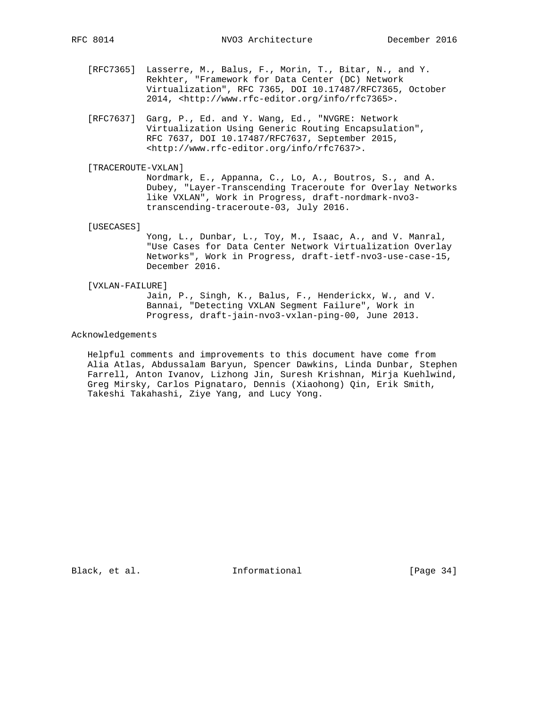- [RFC7365] Lasserre, M., Balus, F., Morin, T., Bitar, N., and Y. Rekhter, "Framework for Data Center (DC) Network Virtualization", RFC 7365, DOI 10.17487/RFC7365, October 2014, <http://www.rfc-editor.org/info/rfc7365>.
- [RFC7637] Garg, P., Ed. and Y. Wang, Ed., "NVGRE: Network Virtualization Using Generic Routing Encapsulation", RFC 7637, DOI 10.17487/RFC7637, September 2015, <http://www.rfc-editor.org/info/rfc7637>.

#### [TRACEROUTE-VXLAN]

 Nordmark, E., Appanna, C., Lo, A., Boutros, S., and A. Dubey, "Layer-Transcending Traceroute for Overlay Networks like VXLAN", Work in Progress, draft-nordmark-nvo3 transcending-traceroute-03, July 2016.

[USECASES]

 Yong, L., Dunbar, L., Toy, M., Isaac, A., and V. Manral, "Use Cases for Data Center Network Virtualization Overlay Networks", Work in Progress, draft-ietf-nvo3-use-case-15, December 2016.

[VXLAN-FAILURE]

 Jain, P., Singh, K., Balus, F., Henderickx, W., and V. Bannai, "Detecting VXLAN Segment Failure", Work in Progress, draft-jain-nvo3-vxlan-ping-00, June 2013.

## Acknowledgements

 Helpful comments and improvements to this document have come from Alia Atlas, Abdussalam Baryun, Spencer Dawkins, Linda Dunbar, Stephen Farrell, Anton Ivanov, Lizhong Jin, Suresh Krishnan, Mirja Kuehlwind, Greg Mirsky, Carlos Pignataro, Dennis (Xiaohong) Qin, Erik Smith, Takeshi Takahashi, Ziye Yang, and Lucy Yong.

Black, et al. 1nformational [Page 34]